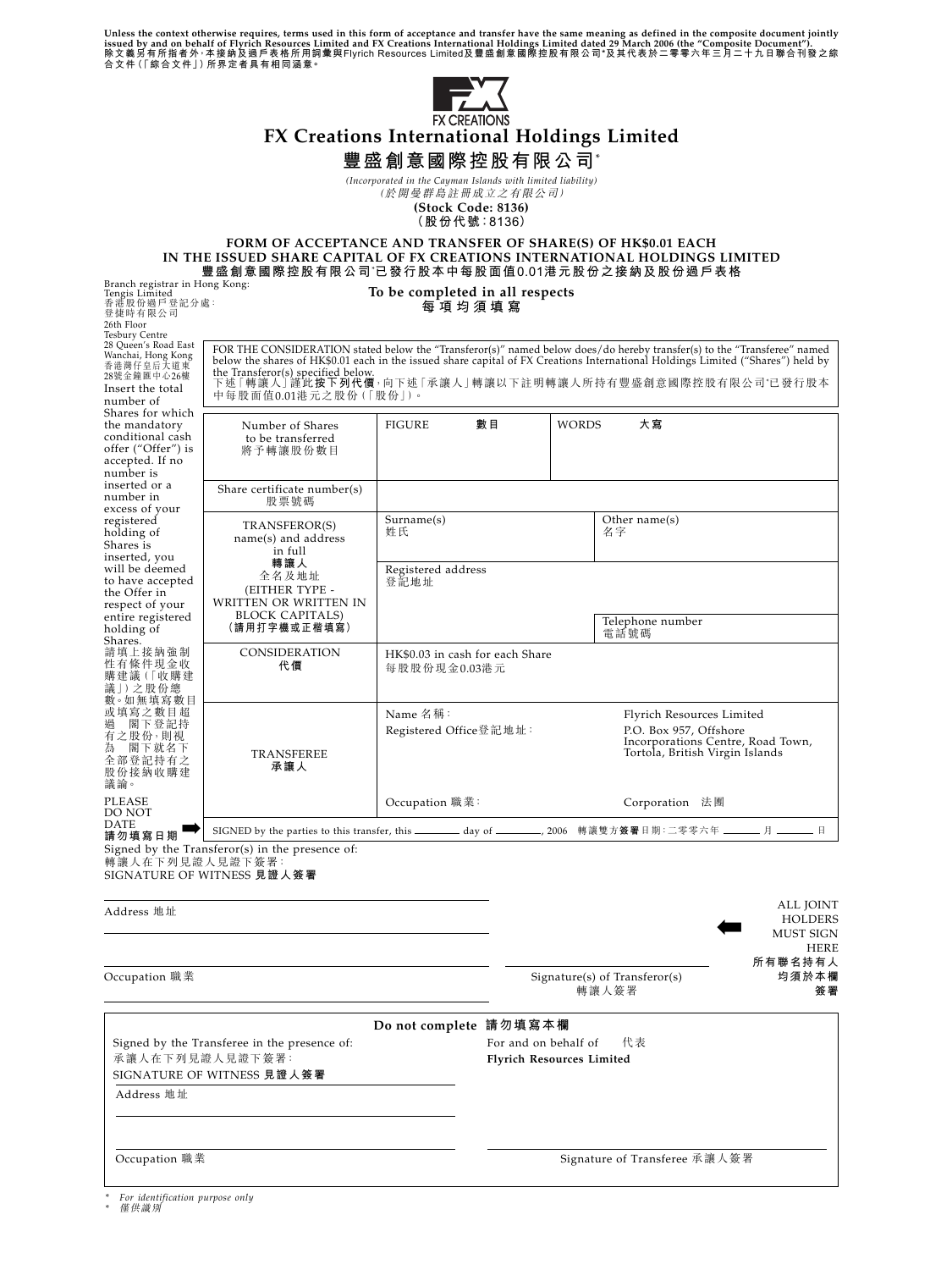Unless the context otherwise requires, terms used in this form of acceptance and transfer have the same meaning as defined in the composite document jointly<br>issued by and on behalf of Flyrich Resources Limited and FX Cre



*(Incorporated in the Cayman Islands with limited liability)* (於開曼群島註冊成立之有限公司)

**(Stock Code: 8136)**

**(股份代號:8136)**

#### **FORM OF ACCEPTANCE AND TRANSFER OF SHARE(S) OF HK\$0.01 EACH IN THE ISSUED SHARE CAPITAL OF FX CREATIONS INTERNATIONAL HOLDINGS LIMITED 豐盛創意國際控股有限公司**\* **已發行股本中每股面值0.01港元股份之接納及股份過戶表格 To be completed in all respects** Branch registrar in Hong Kong:

| Tengis Limited<br>香港股份過戶登記分處:<br>登捷時有限公司                                                                                                             |                                                                                                                                                                                                                                                                                                                                                                                    | To be completed in all respects<br>每項均須填寫                                                                                                                         |                                                                                                                |                               |                                                                |
|------------------------------------------------------------------------------------------------------------------------------------------------------|------------------------------------------------------------------------------------------------------------------------------------------------------------------------------------------------------------------------------------------------------------------------------------------------------------------------------------------------------------------------------------|-------------------------------------------------------------------------------------------------------------------------------------------------------------------|----------------------------------------------------------------------------------------------------------------|-------------------------------|----------------------------------------------------------------|
| 26th Floor<br>Tesbury Centre<br>28 Queen's Road East<br>Wanchai, Hong Kong<br>香港灣仔皇后大道東<br>28號金鐘匯中心26樓<br>Insert the total<br>number of              | FOR THE CONSIDERATION stated below the "Transferor(s)" named below does/do hereby transfer(s) to the "Transferee" named<br>below the shares of HK\$0.01 each in the issued share capital of FX Creations International Holdings Limited ("Shares") held by<br>the Transferor(s) specified below.<br>下述「轉讓人」謹此按下列代價,向下述「承讓人」轉讓以下註明轉讓人所持有豐盛創意國際控股有限公司'已發行股本<br>中每股面值0.01港元之股份(「股份」)。 |                                                                                                                                                                   |                                                                                                                |                               |                                                                |
| Shares for which<br>the mandatory<br>conditional cash<br>offer ("Offer") is<br>accepted. If no<br>number is                                          | Number of Shares<br>to be transferred<br>將予轉讓股份數目                                                                                                                                                                                                                                                                                                                                  | <b>FIGURE</b>                                                                                                                                                     | 數目                                                                                                             | <b>WORDS</b><br>大寫            |                                                                |
| inserted or a<br>number in<br>excess of your                                                                                                         | Share certificate number(s)<br>股票號碼                                                                                                                                                                                                                                                                                                                                                |                                                                                                                                                                   |                                                                                                                |                               |                                                                |
| registered<br>holding of<br>Shares is<br>inserted, you<br>will be deemed<br>to have accepted<br>the Offer in<br>respect of your<br>entire registered | TRANSFEROR(S)<br>name(s) and address<br>in full<br>轉讓人<br>全名及地址<br>(EITHER TYPE -<br>WRITTEN OR WRITTEN IN<br><b>BLOCK CAPITALS)</b>                                                                                                                                                                                                                                               | Surname(s)<br>姓氏                                                                                                                                                  | Other $name(s)$<br>名字                                                                                          |                               |                                                                |
|                                                                                                                                                      |                                                                                                                                                                                                                                                                                                                                                                                    | Registered address<br>登記地址                                                                                                                                        |                                                                                                                |                               |                                                                |
| holding of<br>Shares.                                                                                                                                | (請用打字機或正楷填寫)                                                                                                                                                                                                                                                                                                                                                                       |                                                                                                                                                                   |                                                                                                                | Telephone number<br>電話號碼      |                                                                |
| 請 填 上 接 納 強 制<br>性有條件現金收<br>購建議(「收購建<br>議  ) 之股份總<br>數。如無填寫數目<br>或填寫之數目超<br>過<br>閣下登記持<br>有之股份,則視<br>為 閣下就名下<br>全部登記持有之<br>股份接納收購建<br>議論。            | CONSIDERATION<br>代價                                                                                                                                                                                                                                                                                                                                                                |                                                                                                                                                                   | HK\$0.03 in cash for each Share<br>每股股份現金0.03港元                                                                |                               |                                                                |
|                                                                                                                                                      | TRANSFEREE<br>承讓人                                                                                                                                                                                                                                                                                                                                                                  | Name 名稱:<br>Flyrich Resources Limited<br>Registered Office登記地址:<br>P.O. Box 957, Offshore<br>Incorporations Centre, Road Town,<br>Tortola, British Virgin Islands |                                                                                                                |                               |                                                                |
| PLEASE<br>DO NOT                                                                                                                                     |                                                                                                                                                                                                                                                                                                                                                                                    | Occupation 職業:                                                                                                                                                    | Corporation 法團                                                                                                 |                               |                                                                |
| DATE<br>請勿填寫日期                                                                                                                                       |                                                                                                                                                                                                                                                                                                                                                                                    |                                                                                                                                                                   | SIGNED by the parties to this transfer, this ________ day of ________, 2006 轉讓雙方簽署日期:二零零六年 _______ 月 _______ 日 |                               |                                                                |
| 轉讓人在下列見證人見證下簽署:                                                                                                                                      | Signed by the Transferor(s) in the presence of:<br>SIGNATURE OF WITNESS 見證人簽署                                                                                                                                                                                                                                                                                                      |                                                                                                                                                                   |                                                                                                                |                               |                                                                |
| Address 地址                                                                                                                                           |                                                                                                                                                                                                                                                                                                                                                                                    |                                                                                                                                                                   |                                                                                                                |                               | ALL JOINT<br><b>HOLDERS</b><br><b>MUST SIGN</b><br><b>HERE</b> |
| Occupation 職業                                                                                                                                        |                                                                                                                                                                                                                                                                                                                                                                                    |                                                                                                                                                                   | 所有聯名持有人<br>均須於本欄<br>$Signature(s)$ of Transferor(s)<br>轉讓人簽署<br>簽署                                             |                               |                                                                |
| Do not complete 請勿填寫本欄<br>Signed by the Transferee in the presence of:<br>承讓人在下列見證人見證下簽署:<br>SIGNATURE OF WITNESS 見證人簽署<br>Address 地址                |                                                                                                                                                                                                                                                                                                                                                                                    |                                                                                                                                                                   | 代表<br>For and on behalf of<br><b>Flyrich Resources Limited</b>                                                 |                               |                                                                |
|                                                                                                                                                      |                                                                                                                                                                                                                                                                                                                                                                                    |                                                                                                                                                                   |                                                                                                                |                               |                                                                |
| Occupation 職業                                                                                                                                        |                                                                                                                                                                                                                                                                                                                                                                                    |                                                                                                                                                                   |                                                                                                                | Signature of Transferee 承讓人簽署 |                                                                |

*\* For identification purpose only*

*\** 僅供識別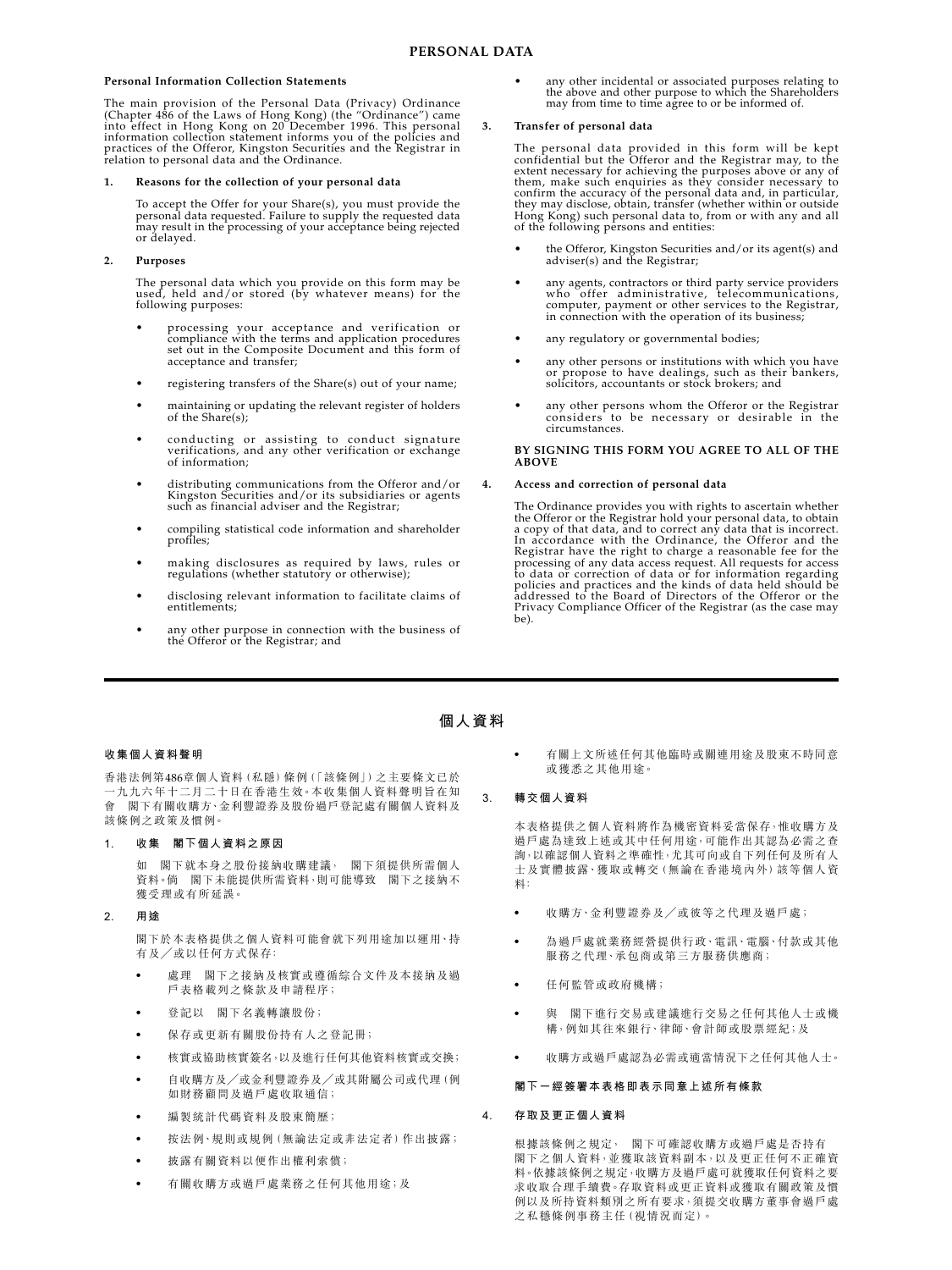## **Personal Information Collection Statements**

The main provision of the Personal Data (Privacy) Ordinance<br>(Chapter 486 of the Laws of Hong Kong) (the "Ordinance") came<br>into effect in Hong Kong on 20 December 1996. This personal information collection statement informs you of the policies and practices of the Offeror, Kingston Securities and the Registrar in relation to personal data and the Ordinance.

# **1. Reasons for the collection of your personal data**

To accept the Offer for your Share(s), you must provide the<br>personal data requested. Failure to supply the requested data<br>may result in the processing of your acceptance being rejected or delayed.

# **2. Purposes**

The personal data which you provide on this form may be used, held and/or stored (by whatever means) for the following purposes:

- processing your acceptance and verification or compliance with the terms and application procedures set out in the Composite Document and this form of acceptance and transfer;
- registering transfers of the Share(s) out of your name;
- maintaining or updating the relevant register of holders of the Share(s);
- conducting or assisting to conduct signature verifications, and any other verification or exchange of information;
- distributing communications from the Offeror and/or Kingston Securities and/or its subsidiaries or agents such as financial adviser and the Registrar;
- compiling statistical code information and shareholder profiles;
- making disclosures as required by laws, rules or regulations (whether statutory or otherwise);
- disclosing relevant information to facilitate claims of entitlements;
- any other purpose in connection with the business of the Offeror or the Registrar; and

• any other incidental or associated purposes relating to the above and other purpose to which the Shareholders may from time to time agree to or be informed of.

# **3. Transfer of personal data**

The personal data provided in this form will be kept<br>confidential but the Offeror and the Rejstrar may, to the<br>extent necessary for achieving the purposes above or any of<br>them, make such enquiries as they consider necessar

- the Offeror, Kingston Securities and/or its agent(s) and adviser(s) and the Registrar;
- any agents, contractors or third party service providers who offer administrative, telecommunications, computer, payment or other services to the Registrar, in connection with the operation of its business;
- any regulatory or governmental bodies:
- any other persons or institutions with which you have or propose to have dealings, such as their bankers, solicitors, accountants or stock brokers; and
- any other persons whom the Offeror or the Registrar considers to be necessary or desirable in the circumstances.

**BY SIGNING THIS FORM YOU AGREE TO ALL OF THE ABOVE**

# **4. Access and correction of personal data**

The Ordinance provides you with rights to ascertain whether the Offeror or the Registrar hold your personal data, to obtain a copy of that data, and to correct any data that is incorrect. In accordance with the Ordinance, the Offeror and the Registrar have the right to charge a reasonable fee for the processing of any data access request. All requests for access to data or correction of data or for information regarding policies and practices and the kinds of data held should be addressed to the Board of Directors of the Offeror or the Privacy Compliance Officer of the Registrar (as the case may be).

# **個人資料**

# **收集個人資料聲明**

香港法例第486章個人資料(私隱)條例(「該條例」)之主要條文已於 一九九六年十二月二十日在香港生效。本收集個人資料聲明旨在知 會 閣下有關收購方、金利豐證券及股份過戶登記處有關個人資料及 該條例之政策及慣例。

## **1. 收集 閣下個人資料之原因**

如 閣下就本身之股份接納收購建議, 閣下須提供所需個人 資料。倘 閣下未能提供所需資料,則可能導致 閣下之接納不 獲受理或有所延誤。

## **2. 用途**

閣下於本表格提供之個人資料可能會就下列用途加以運用、持 有及/或以任何方式保存﹕

- ‧ 處理 閣下之接納及核實或遵循綜合文件及本接納及過 戶表格載列之條款及申請程序;
- ‧ 登記以 閣下名義轉讓股份;
- ‧ 保存或更新有關股份持有人之登記冊;
- 核實或協助核實簽名,以及進行任何其他資料核實或交換;
- ‧ 自收購方及/或金利豐證券及/或其附屬公司或代理(例 如財務顧問及過戶處收取通信;
- ‧ 編製統計代碼資料及股東簡歷;
- ‧ 按法例、規則或規例(無論法定或非法定者)作出披露;
- ‧ 披露有關資料以便作出權利索償;
- ‧ 有關收購方或過戶處業務之任何其他用途;及

‧ 有關上文所述任何其他臨時或關連用途及股東不時同意 或獲悉之其他用途。

## **3. 轉交個人資料**

本表格提供之個人資料將作為機密資料妥當保存,惟收購方及 過戶處為達致上述或其中任何用途,可能作出其認為必需之查 詢,以確認個人資料之準確性,尤其可向或自下列任何及所有人 士及實體披露、獲取或轉交(無論在香港境內外)該等個人資 料﹕

- 收購方、金利豐證券及/或彼等之代理及過戶處;
- ‧ 為過戶處就業務經營提供行政、電訊、電腦、付款或其他 服務之代理、承包商或第三方服務供應商;
- ‧ 任何監管或政府機構;
- ‧ 與 閣下進行交易或建議進行交易之任何其他人士或機 構,例如其往來銀行、律師、會計師或股票經紀;及
- 收購方或過戶處認為必需或滴當情況下之任何其他人士。

#### **閣下一經簽署本表格即表示同意上述所有條款**

## **4. 存取及更正個人資料**

根據該條例之規定, 閣下可確認收購方或過戶處是否持有 閣下之個人資料,並獲取該資料副本,以及更正任何不正確資 料。依據該條例之規定,收購方及過戶處可就獲取任何資料之要 求收取合理手續費。存取資料或更正資料或獲取有關政策及慣 例以及所持資料類別之所有要求,須提交收購方董事會過戶處 之私穩條例事務主任(視情況而定)。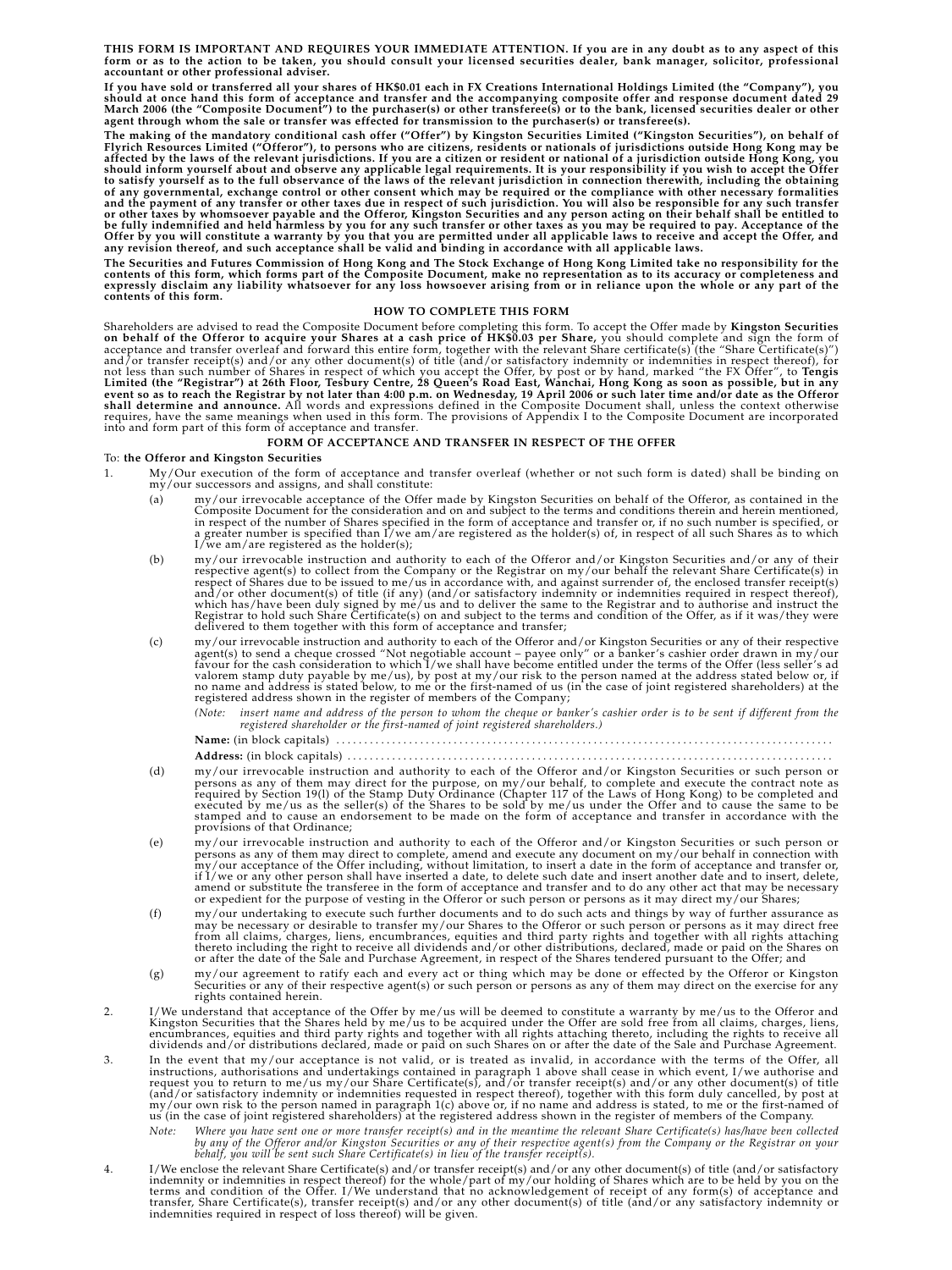**THIS FORM IS IMPORTANT AND REQUIRES YOUR IMMEDIATE ATTENTION. If you are in any doubt as to any aspect of this form or as to the action to be taken, you should consult your licensed securities dealer, bank manager, solicitor, professional accountant or other professional adviser.**

If you have sold or transferred all your shares of HK\$0.01 each in FX Creations International Holdings Limited (the "Company"), you<br>should at once hand this form of acceptance and transfer and the accompanying composite of **agent through whom the sale or transfer was effected for transmission to the purchaser(s) or transferee(s).**

**The making of the mandatory conditional cash offer ("Offer") by Kingston Securities Limited ("Kingston Securities"), on behalf of** Flyrich Resources Limited ("Offeror"), to persons who are citizens, residents or nationals of jurisdictions outside Hong Kong may be<br>affected by the laws of the relevant jurisdictions. If you are a citizen or resident or n to satisfy yourself as to the full observance of the laws of the relevant jurisdiction in connection therewith, including the obtaining<br>of any governmental, exchange control or other consent which may be required or the co or other taxes by whomsoever payable and the Offeror, Kingston Securities and any person acting on their behalf shall be entitled to<br>be fully indemnified and held harmless by you for any such transfer or other taxes as you

The Securities and Futures Commission of Hong Kong and The Stock Exchange of Hong Kong Limited take no responsibility for the<br>contents of this form, which forms part of the Composite Document, make no representation as to

#### **HOW TO COMPLETE THIS FORM**

Shareholders are advised to read the Composite Document before completing this form. To accept the Offer made by Kin**gston Securities**<br>on behalf of the Offeror to acquire your Shares at a cash price of HK\$0.03 per Share, y

#### **FORM OF ACCEPTANCE AND TRANSFER IN RESPECT OF THE OFFER**

### To: **the Offeror and Kingston Securities**

- 1. My/Our execution of the form of acceptance and transfer overleaf (whether or not such form is dated) shall be binding on my/our successors and assigns, and shall constitute:
	- (a) my/our irrevocable acceptance of the Offer made by Kingston Securities on behalf of the Offeror, as contained in the Composite Document for the consideration and on and subject to the terms and conditions therein and
	- (b) my/our irrevocable instruction and authority to each of the Offeror and/or Kingston Securities and/or any of their<br>respective agent(s) to collect from the Company or the Registrar on my/our behalf the relevant Share Ce respect of Shares due to be issued to me/us in accordance with, and against surrender of, the enclosed transfer receipt(s)<br>and/or other document(s) of title (if any) (and/or satisfactory indemnity or indemnities required i
	- (c) my/our irrevocable instruction and authority to each of the Offeror and/or Kingston Securities or any of their respective)<br>agent(s) to send a cheque crossed "Not negotiable account payee only" or a banker's cashier o valorem stamp duty payable by me/us), by post at my/our risk to the person named at the address stated below or, if<br>no name and address is stated below, to me or the first-named of us (in the case of joint registered share

*(Note: insert name and address of the person to whom the cheque or banker's cashier order is to be sent if different from the registered shareholder or the first-named of joint registered shareholders.)*

**Name:** (in block capitals) . . . . . . . . . . . . . . . . . . . . . . . . . . . . . . . . . . . . . . . . . . . . . . . . . . . . . . . . . . . . . . . . . . . . . . . . . . . . . . . . . . . . . . . . . **Address:** (in block capitals) . . . . . . . . . . . . . . . . . . . . . . . . . . . . . . . . . . . . . . . . . . . . . . . . . . . . . . . . . . . . . . . . . . . . . . . . . . . . . . . . . . . . . . .

- (d) my/our irrevocable instruction and authority to each of the Offeror and/or Kingston Securities or such person or persons as any of them may direct for the purpose, on my/our behalf, to complete and execute the contract provisions of that Ordinance;
- (e) my/our irrevocable instruction and authority to each of the Offeror and/or Kingston Securities or such person or persons as any of them may direct to complete, amend and execute any document on my/our behalf in connect
- (f) my/our undertaking to execute such further documents and to do such acts and things by way of further assurance as may be necessary or desirable to transfer my/our Shares to the Offeror or such person or persons as it
- (g) my/our agreement to ratify each and every act or thing which may be done or effected by the Offeror or Kingston<br>Securities or any of their respective agent(s) or such person or persons as any of them may direct on the
- 2. I/We understand that acceptance of the Offer by me/us will be deemed to constitute a warranty by me/us to the Offeror and<br>Kingston Securities that the Shares held by me/us to be acquired under the Offer are sold free fr
- 3. In the event that my/our acceptance is not valid, or is treated as invalid, in accordance with the terms of the Offer, all instructions, authorisations and undertakings contained in paragraph 1 above shall cease in whi
	- Note: Where you have sent one or more transfer receipt(s) and in the meantime the relevant Share Certificate(s) has/have been collected<br>by any of the Offeror and/or Kingston Securities or any of their respective agent(s) f
- 4. I/We enclose the relevant Share Certificate(s) and/or transfer receipt(s) and/or any other document(s) of title (and/or satisfactory indemnity or indemnition in respect thereof) for the whole/part of my/our holding of S